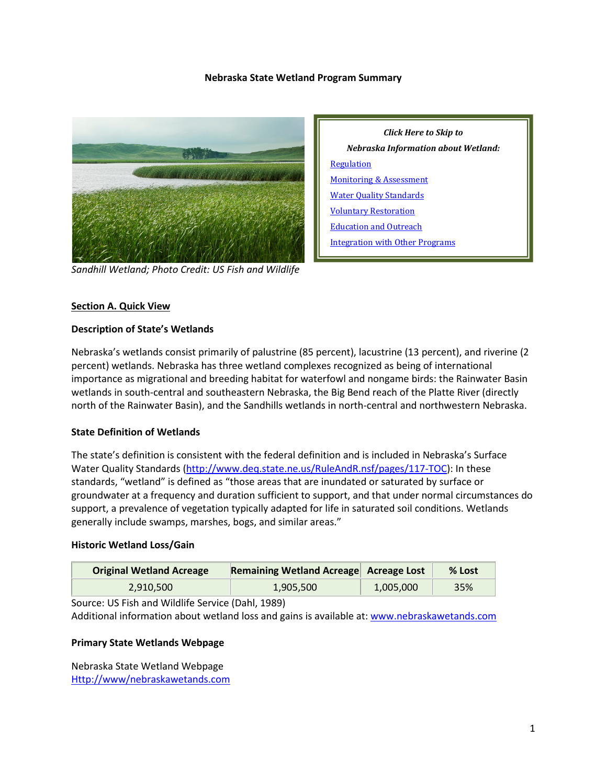### **Nebraska State Wetland Program Summary**



*Sandhill Wetland; Photo Credit: US Fish and Wildlife*



#### **Section A. Quick View**

#### **Description of State's Wetlands**

Nebraska's wetlands consist primarily of palustrine (85 percent), lacustrine (13 percent), and riverine (2 percent) wetlands. Nebraska has three wetland complexes recognized as being of international importance as migrational and breeding habitat for waterfowl and nongame birds: the Rainwater Basin wetlands in south-central and southeastern Nebraska, the Big Bend reach of the Platte River (directly north of the Rainwater Basin), and the Sandhills wetlands in north-central and northwestern Nebraska.

### **State Definition of Wetlands**

The state's definition is consistent with the federal definition and is included in Nebraska's Surface Water Quality Standards [\(http://www.deq.state.ne.us/RuleAndR.nsf/pages/117-TOC\)](http://www.deq.state.ne.us/RuleAndR.nsf/pages/117-TOC): In these standards, "wetland" is defined as "those areas that are inundated or saturated by surface or groundwater at a frequency and duration sufficient to support, and that under normal circumstances do support, a prevalence of vegetation typically adapted for life in saturated soil conditions. Wetlands generally include swamps, marshes, bogs, and similar areas."

#### **Historic Wetland Loss/Gain**

| <b>Original Wetland Acreage</b> | <b>Remaining Wetland Acreage Acreage Lost</b> |           | $%$ Lost |
|---------------------------------|-----------------------------------------------|-----------|----------|
| 2.910.500                       | 1,905,500                                     | 1,005,000 | 35%      |

Source: US Fish and Wildlife Service (Dahl, 1989)

Additional information about wetland loss and gains is available at: [www.nebraskawetands.com](http://www.nebraskawetands.com/)

#### **Primary State Wetlands Webpage**

Nebraska State Wetland Webpage [Http://www/nebraskawetands.com](http://www/nebraskawetands.com)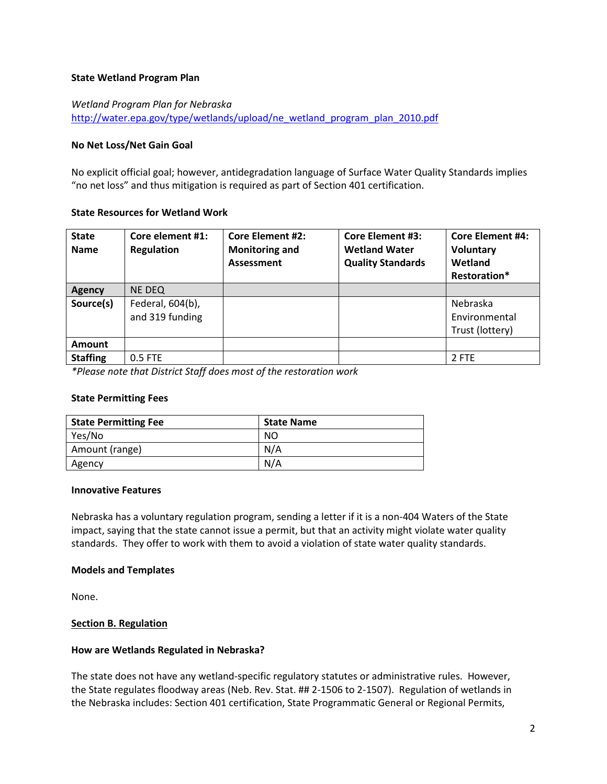### **State Wetland Program Plan**

# *Wetland Program Plan for Nebraska* [http://water.epa.gov/type/wetlands/upload/ne\\_wetland\\_program\\_plan\\_2010.pdf](http://water.epa.gov/type/wetlands/upload/ne_wetland_program_plan_2010.pdf)

### **No Net Loss/Net Gain Goal**

No explicit official goal; however, antidegradation language of Surface Water Quality Standards implies "no net loss" and thus mitigation is required as part of Section 401 certification.

### **State Resources for Wetland Work**

| <b>State</b><br><b>Name</b> | Core element #1:<br><b>Regulation</b> | <b>Core Element #2:</b><br><b>Monitoring and</b><br><b>Assessment</b> | <b>Core Element #3:</b><br><b>Wetland Water</b><br><b>Quality Standards</b> | <b>Core Element #4:</b><br><b>Voluntary</b><br>Wetland<br>Restoration* |
|-----------------------------|---------------------------------------|-----------------------------------------------------------------------|-----------------------------------------------------------------------------|------------------------------------------------------------------------|
| Agency                      | NE DEQ                                |                                                                       |                                                                             |                                                                        |
| Source(s)                   | Federal, 604(b),<br>and 319 funding   |                                                                       |                                                                             | Nebraska<br>Environmental<br>Trust (lottery)                           |
| <b>Amount</b>               |                                       |                                                                       |                                                                             |                                                                        |
| <b>Staffing</b>             | 0.5 FTE                               |                                                                       |                                                                             | 2 FTE                                                                  |

*\*Please note that District Staff does most of the restoration work*

### **State Permitting Fees**

| <b>State Permitting Fee</b> | <b>State Name</b> |
|-----------------------------|-------------------|
| Yes/No                      | NO                |
| Amount (range)              | N/A               |
| Agency                      | N/A               |

### **Innovative Features**

Nebraska has a voluntary regulation program, sending a letter if it is a non-404 Waters of the State impact, saying that the state cannot issue a permit, but that an activity might violate water quality standards. They offer to work with them to avoid a violation of state water quality standards.

### **Models and Templates**

None.

### <span id="page-1-0"></span>**Section B. Regulation**

### **How are Wetlands Regulated in Nebraska?**

The state does not have any wetland-specific regulatory statutes or administrative rules. However, the State regulates floodway areas (Neb. Rev. Stat. ## 2-1506 to 2-1507). Regulation of wetlands in the Nebraska includes: Section 401 certification, State Programmatic General or Regional Permits,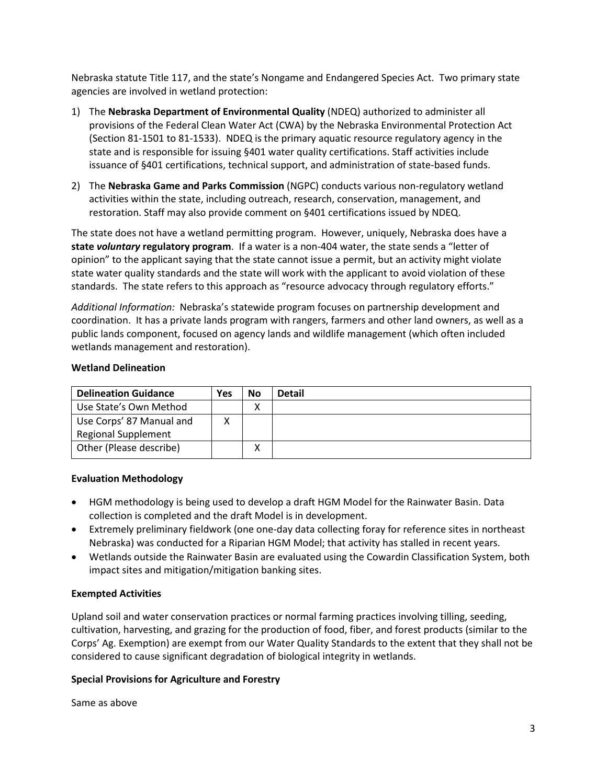Nebraska statute Title 117, and the state's Nongame and Endangered Species Act. Two primary state agencies are involved in wetland protection:

- 1) The **Nebraska Department of Environmental Quality** (NDEQ) authorized to administer all provisions of the Federal Clean Water Act (CWA) by the Nebraska Environmental Protection Act (Section 81-1501 to 81-1533). NDEQ is the primary aquatic resource regulatory agency in the state and is responsible for issuing §401 water quality certifications. Staff activities include issuance of §401 certifications, technical support, and administration of state-based funds.
- 2) The **Nebraska Game and Parks Commission** (NGPC) conducts various non-regulatory wetland activities within the state, including outreach, research, conservation, management, and restoration. Staff may also provide comment on §401 certifications issued by NDEQ.

The state does not have a wetland permitting program. However, uniquely, Nebraska does have a **state** *voluntary* **regulatory program**. If a water is a non-404 water, the state sends a "letter of opinion" to the applicant saying that the state cannot issue a permit, but an activity might violate state water quality standards and the state will work with the applicant to avoid violation of these standards. The state refers to this approach as "resource advocacy through regulatory efforts."

*Additional Information:* Nebraska's statewide program focuses on partnership development and coordination. It has a private lands program with rangers, farmers and other land owners, as well as a public lands component, focused on agency lands and wildlife management (which often included wetlands management and restoration).

### **Wetland Delineation**

| <b>Delineation Guidance</b> | Yes | No                | <b>Detail</b> |
|-----------------------------|-----|-------------------|---------------|
| Use State's Own Method      |     | v<br>Λ            |               |
| Use Corps' 87 Manual and    |     |                   |               |
| <b>Regional Supplement</b>  |     |                   |               |
| Other (Please describe)     |     | $\checkmark$<br>л |               |

# **Evaluation Methodology**

- HGM methodology is being used to develop a draft HGM Model for the Rainwater Basin. Data collection is completed and the draft Model is in development.
- Extremely preliminary fieldwork (one one-day data collecting foray for reference sites in northeast Nebraska) was conducted for a Riparian HGM Model; that activity has stalled in recent years.
- Wetlands outside the Rainwater Basin are evaluated using the Cowardin Classification System, both impact sites and mitigation/mitigation banking sites.

### **Exempted Activities**

Upland soil and water conservation practices or normal farming practices involving tilling, seeding, cultivation, harvesting, and grazing for the production of food, fiber, and forest products (similar to the Corps' Ag. Exemption) are exempt from our Water Quality Standards to the extent that they shall not be considered to cause significant degradation of biological integrity in wetlands.

### **Special Provisions for Agriculture and Forestry**

Same as above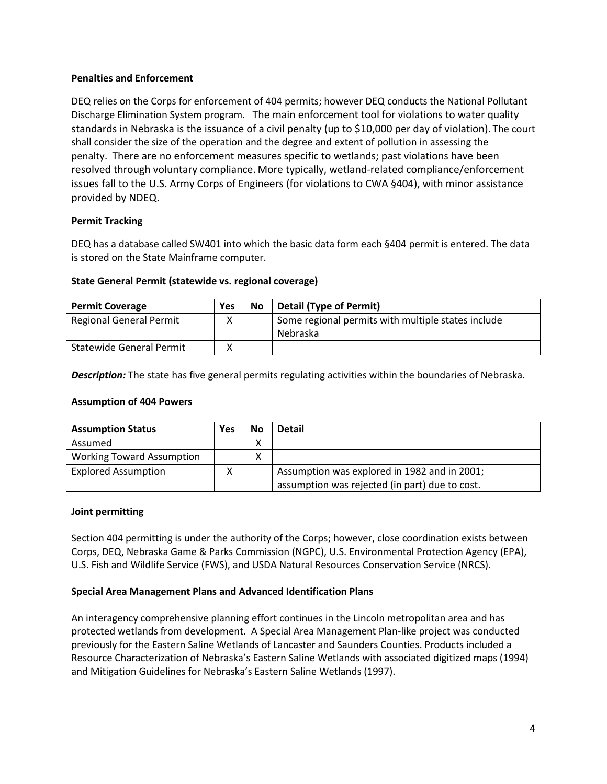### **Penalties and Enforcement**

DEQ relies on the Corps for enforcement of 404 permits; however DEQ conducts the National Pollutant Discharge Elimination System program. The main enforcement tool for violations to water quality standards in Nebraska is the issuance of a civil penalty (up to \$10,000 per day of violation). The court shall consider the size of the operation and the degree and extent of pollution in assessing the penalty. There are no enforcement measures specific to wetlands; past violations have been resolved through voluntary compliance. More typically, wetland-related compliance/enforcement issues fall to the U.S. Army Corps of Engineers (for violations to CWA §404), with minor assistance provided by NDEQ.

# **Permit Tracking**

DEQ has a database called SW401 into which the basic data form each §404 permit is entered. The data is stored on the State Mainframe computer.

## **State General Permit (statewide vs. regional coverage)**

| <b>Permit Coverage</b>          | <b>Yes</b> | <b>No</b> | <b>Detail (Type of Permit)</b>                     |
|---------------------------------|------------|-----------|----------------------------------------------------|
| <b>Regional General Permit</b>  |            |           | Some regional permits with multiple states include |
|                                 |            |           | Nebraska                                           |
| <b>Statewide General Permit</b> | v          |           |                                                    |

*Description:* The state has five general permits regulating activities within the boundaries of Nebraska.

### **Assumption of 404 Powers**

| <b>Assumption Status</b>         | Yes | No | <b>Detail</b>                                  |
|----------------------------------|-----|----|------------------------------------------------|
| Assumed                          |     | ∧  |                                                |
| <b>Working Toward Assumption</b> |     | ∧  |                                                |
| <b>Explored Assumption</b>       | x   |    | Assumption was explored in 1982 and in 2001;   |
|                                  |     |    | assumption was rejected (in part) due to cost. |

### **Joint permitting**

Section 404 permitting is under the authority of the Corps; however, close coordination exists between Corps, DEQ, Nebraska Game & Parks Commission (NGPC), U.S. Environmental Protection Agency (EPA), U.S. Fish and Wildlife Service (FWS), and USDA Natural Resources Conservation Service (NRCS).

# **Special Area Management Plans and Advanced Identification Plans**

An interagency comprehensive planning effort continues in the Lincoln metropolitan area and has protected wetlands from development. A Special Area Management Plan-like project was conducted previously for the Eastern Saline Wetlands of Lancaster and Saunders Counties. Products included a Resource Characterization of Nebraska's Eastern Saline Wetlands with associated digitized maps (1994) and Mitigation Guidelines for Nebraska's Eastern Saline Wetlands (1997).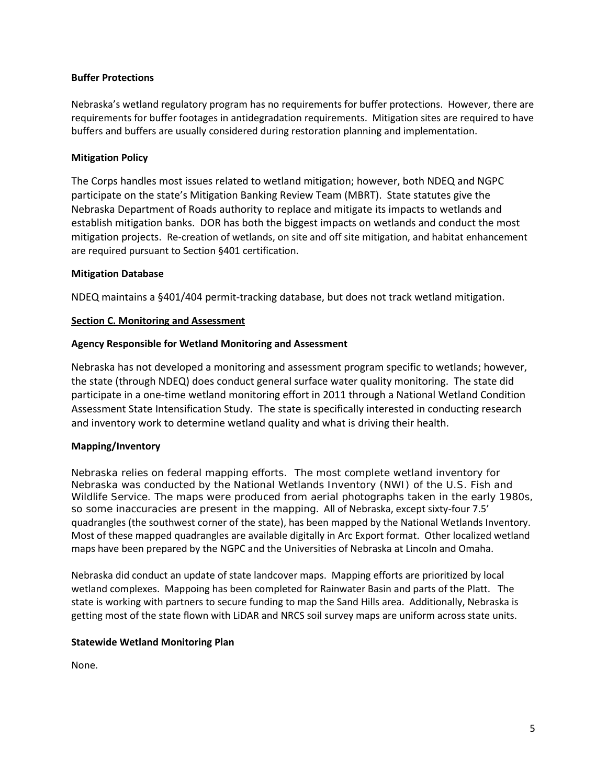### **Buffer Protections**

Nebraska's wetland regulatory program has no requirements for buffer protections. However, there are requirements for buffer footages in antidegradation requirements. Mitigation sites are required to have buffers and buffers are usually considered during restoration planning and implementation.

# **Mitigation Policy**

The Corps handles most issues related to wetland mitigation; however, both NDEQ and NGPC participate on the state's Mitigation Banking Review Team (MBRT). State statutes give the Nebraska Department of Roads authority to replace and mitigate its impacts to wetlands and establish mitigation banks. DOR has both the biggest impacts on wetlands and conduct the most mitigation projects. Re-creation of wetlands, on site and off site mitigation, and habitat enhancement are required pursuant to Section §401 certification.

## **Mitigation Database**

NDEQ maintains a §401/404 permit-tracking database, but does not track wetland mitigation.

## <span id="page-4-0"></span>**Section C. Monitoring and Assessment**

## **Agency Responsible for Wetland Monitoring and Assessment**

Nebraska has not developed a monitoring and assessment program specific to wetlands; however, the state (through NDEQ) does conduct general surface water quality monitoring. The state did participate in a one-time wetland monitoring effort in 2011 through a National Wetland Condition Assessment State Intensification Study. The state is specifically interested in conducting research and inventory work to determine wetland quality and what is driving their health.

# **Mapping/Inventory**

Nebraska relies on federal mapping efforts. The most complete wetland inventory for Nebraska was conducted by the National Wetlands Inventory (*NWI*) of the U.S. Fish and Wildlife Service. The maps were produced from aerial photographs taken in the early 1980s, so some inaccuracies are present in the mapping. All of Nebraska, except sixty-four 7.5' quadrangles (the southwest corner of the state), has been mapped by the National Wetlands Inventory. Most of these mapped quadrangles are available digitally in Arc Export format. Other localized wetland maps have been prepared by the NGPC and the Universities of Nebraska at Lincoln and Omaha.

Nebraska did conduct an update of state landcover maps. Mapping efforts are prioritized by local wetland complexes. Mappoing has been completed for Rainwater Basin and parts of the Platt. The state is working with partners to secure funding to map the Sand Hills area. Additionally, Nebraska is getting most of the state flown with LiDAR and NRCS soil survey maps are uniform across state units.

### **Statewide Wetland Monitoring Plan**

None.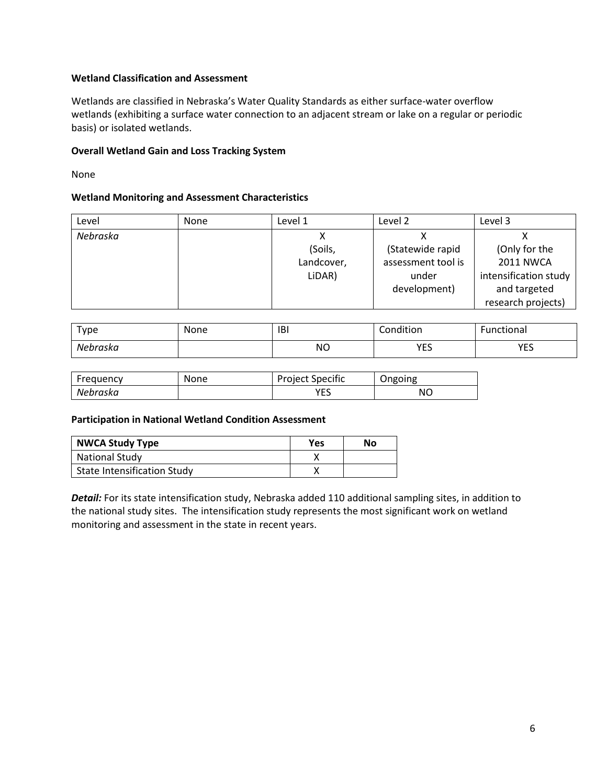### **Wetland Classification and Assessment**

Wetlands are classified in Nebraska's Water Quality Standards as either surface-water overflow wetlands (exhibiting a surface water connection to an adjacent stream or lake on a regular or periodic basis) or isolated wetlands.

## **Overall Wetland Gain and Loss Tracking System**

None

### **Wetland Monitoring and Assessment Characteristics**

| Level    | <b>None</b> | Level 1    | Level 2            | Level 3               |
|----------|-------------|------------|--------------------|-----------------------|
| Nebraska |             |            |                    |                       |
|          |             | (Soils,    | (Statewide rapid   | (Only for the         |
|          |             | Landcover, | assessment tool is | <b>2011 NWCA</b>      |
|          |             | LiDAR)     | under              | intensification study |
|          |             |            | development)       | and targeted          |
|          |             |            |                    | research projects)    |

| туре     | None | <b>IBI</b>          | Condition  | unctional |
|----------|------|---------------------|------------|-----------|
| Nebraska |      | <b>NO</b><br>$\sim$ | VEC<br>ر__ | VEC<br>.  |

| Frequency | None | <b>Project Specific</b> | Ongoing |
|-----------|------|-------------------------|---------|
| Nebraska  |      | <b>VEC</b><br>ب∟        | ΝO      |

### **Participation in National Wetland Condition Assessment**

| <b>NWCA Study Type</b>             | Yes | No |
|------------------------------------|-----|----|
| <b>National Study</b>              |     |    |
| <b>State Intensification Study</b> |     |    |

*Detail:* For its state intensification study, Nebraska added 110 additional sampling sites, in addition to the national study sites. The intensification study represents the most significant work on wetland monitoring and assessment in the state in recent years.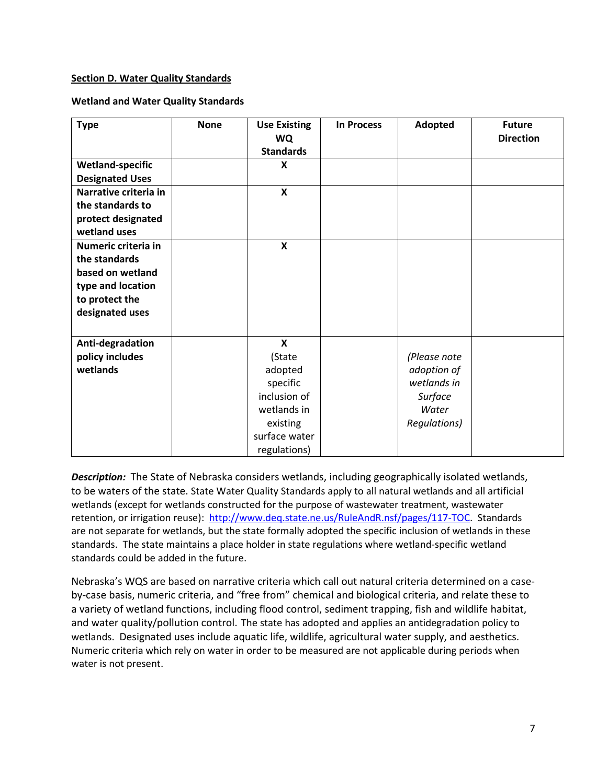### <span id="page-6-0"></span>**Section D. Water Quality Standards**

### **Wetland and Water Quality Standards**

| <b>Type</b>                                                                                                        | <b>None</b> | <b>Use Existing</b><br>WQ<br><b>Standards</b>                                                                                          | <b>In Process</b> | Adopted                                                                        | <b>Future</b><br><b>Direction</b> |
|--------------------------------------------------------------------------------------------------------------------|-------------|----------------------------------------------------------------------------------------------------------------------------------------|-------------------|--------------------------------------------------------------------------------|-----------------------------------|
| <b>Wetland-specific</b><br><b>Designated Uses</b>                                                                  |             | X                                                                                                                                      |                   |                                                                                |                                   |
| Narrative criteria in<br>the standards to<br>protect designated<br>wetland uses                                    |             | $\boldsymbol{\mathsf{X}}$                                                                                                              |                   |                                                                                |                                   |
| Numeric criteria in<br>the standards<br>based on wetland<br>type and location<br>to protect the<br>designated uses |             | $\boldsymbol{\mathsf{x}}$                                                                                                              |                   |                                                                                |                                   |
| Anti-degradation<br>policy includes<br>wetlands                                                                    |             | $\boldsymbol{\mathsf{x}}$<br>(State<br>adopted<br>specific<br>inclusion of<br>wetlands in<br>existing<br>surface water<br>regulations) |                   | (Please note<br>adoption of<br>wetlands in<br>Surface<br>Water<br>Regulations) |                                   |

*Description:* The State of Nebraska considers wetlands, including geographically isolated wetlands, to be waters of the state. State Water Quality Standards apply to all natural wetlands and all artificial wetlands (except for wetlands constructed for the purpose of wastewater treatment, wastewater retention, or irrigation reuse): [http://www.deq.state.ne.us/RuleAndR.nsf/pages/117-TOC.](http://www.deq.state.ne.us/RuleAndR.nsf/pages/117-TOC) Standards are not separate for wetlands, but the state formally adopted the specific inclusion of wetlands in these standards. The state maintains a place holder in state regulations where wetland-specific wetland standards could be added in the future.

Nebraska's WQS are based on narrative criteria which call out natural criteria determined on a caseby-case basis, numeric criteria, and "free from" chemical and biological criteria, and relate these to a variety of wetland functions, including flood control, sediment trapping, fish and wildlife habitat, and water quality/pollution control. The state has adopted and applies an antidegradation policy to wetlands. Designated uses include aquatic life, wildlife, agricultural water supply, and aesthetics. Numeric criteria which rely on water in order to be measured are not applicable during periods when water is not present.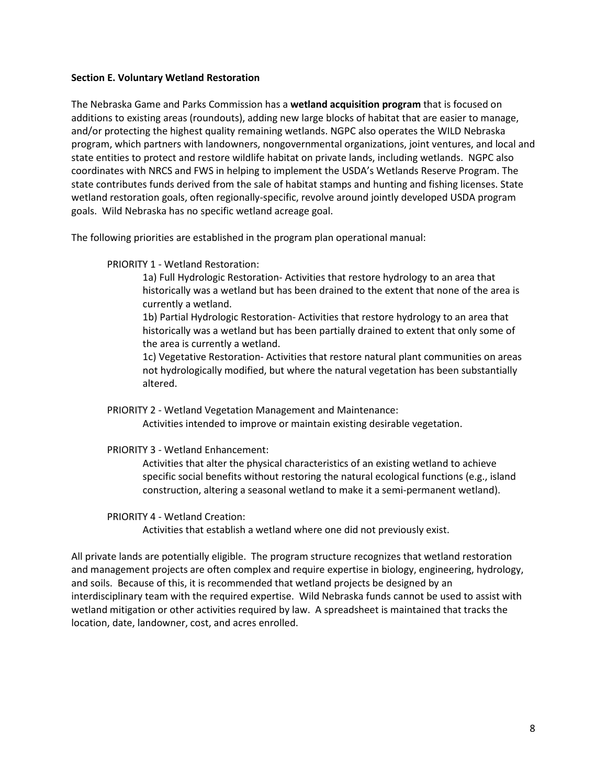#### <span id="page-7-0"></span>**Section E. Voluntary Wetland Restoration**

The Nebraska Game and Parks Commission has a **wetland acquisition program** that is focused on additions to existing areas (roundouts), adding new large blocks of habitat that are easier to manage, and/or protecting the highest quality remaining wetlands. NGPC also operates the WILD Nebraska program, which partners with landowners, nongovernmental organizations, joint ventures, and local and state entities to protect and restore wildlife habitat on private lands, including wetlands. NGPC also coordinates with NRCS and FWS in helping to implement the USDA's Wetlands Reserve Program. The state contributes funds derived from the sale of habitat stamps and hunting and fishing licenses. State wetland restoration goals, often regionally-specific, revolve around jointly developed USDA program goals. Wild Nebraska has no specific wetland acreage goal.

The following priorities are established in the program plan operational manual:

PRIORITY 1 - Wetland Restoration:

1a) Full Hydrologic Restoration- Activities that restore hydrology to an area that historically was a wetland but has been drained to the extent that none of the area is currently a wetland.

1b) Partial Hydrologic Restoration- Activities that restore hydrology to an area that historically was a wetland but has been partially drained to extent that only some of the area is currently a wetland.

1c) Vegetative Restoration- Activities that restore natural plant communities on areas not hydrologically modified, but where the natural vegetation has been substantially altered.

PRIORITY 2 - Wetland Vegetation Management and Maintenance: Activities intended to improve or maintain existing desirable vegetation.

PRIORITY 3 - Wetland Enhancement:

Activities that alter the physical characteristics of an existing wetland to achieve specific social benefits without restoring the natural ecological functions (e.g., island construction, altering a seasonal wetland to make it a semi-permanent wetland).

PRIORITY 4 - Wetland Creation:

Activities that establish a wetland where one did not previously exist.

All private lands are potentially eligible. The program structure recognizes that wetland restoration and management projects are often complex and require expertise in biology, engineering, hydrology, and soils. Because of this, it is recommended that wetland projects be designed by an interdisciplinary team with the required expertise. Wild Nebraska funds cannot be used to assist with wetland mitigation or other activities required by law. A spreadsheet is maintained that tracks the location, date, landowner, cost, and acres enrolled.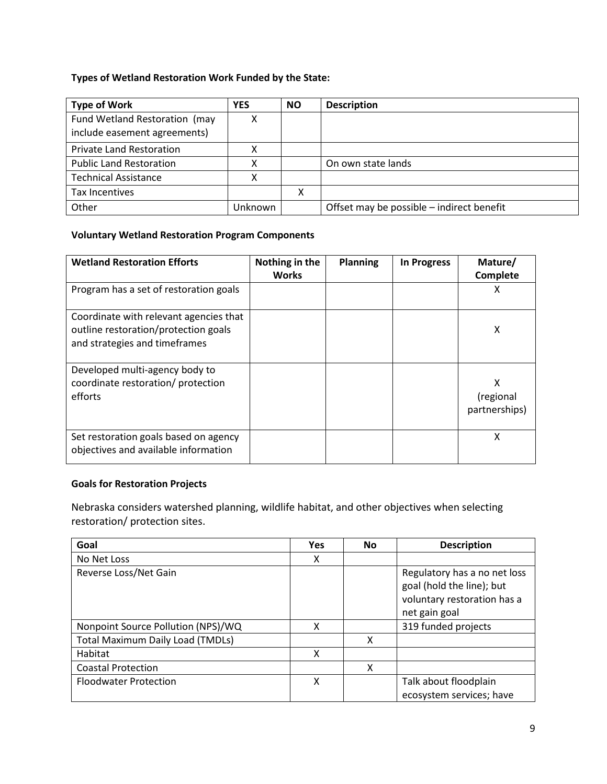# **Types of Wetland Restoration Work Funded by the State:**

| <b>Type of Work</b>                                           | <b>YES</b> | <b>NO</b> | <b>Description</b>                        |
|---------------------------------------------------------------|------------|-----------|-------------------------------------------|
| Fund Wetland Restoration (may<br>include easement agreements) |            |           |                                           |
| <b>Private Land Restoration</b>                               |            |           |                                           |
| <b>Public Land Restoration</b>                                |            |           | On own state lands                        |
| <b>Technical Assistance</b>                                   |            |           |                                           |
| Tax Incentives                                                |            | Χ         |                                           |
| Other                                                         | Unknown    |           | Offset may be possible – indirect benefit |

### **Voluntary Wetland Restoration Program Components**

| <b>Wetland Restoration Efforts</b>                                                                              | Nothing in the<br><b>Works</b> | Planning | <b>In Progress</b> | Mature/<br>Complete             |
|-----------------------------------------------------------------------------------------------------------------|--------------------------------|----------|--------------------|---------------------------------|
| Program has a set of restoration goals                                                                          |                                |          |                    | х                               |
| Coordinate with relevant agencies that<br>outline restoration/protection goals<br>and strategies and timeframes |                                |          |                    | Χ                               |
| Developed multi-agency body to<br>coordinate restoration/ protection<br>efforts                                 |                                |          |                    | χ<br>(regional<br>partnerships) |
| Set restoration goals based on agency<br>objectives and available information                                   |                                |          |                    | X                               |

# **Goals for Restoration Projects**

Nebraska considers watershed planning, wildlife habitat, and other objectives when selecting restoration/ protection sites.

| Goal                                    | <b>Yes</b> | <b>No</b> | <b>Description</b>                                                                                        |
|-----------------------------------------|------------|-----------|-----------------------------------------------------------------------------------------------------------|
| No Net Loss                             | x          |           |                                                                                                           |
| Reverse Loss/Net Gain                   |            |           | Regulatory has a no net loss<br>goal (hold the line); but<br>voluntary restoration has a<br>net gain goal |
| Nonpoint Source Pollution (NPS)/WQ      | χ          |           | 319 funded projects                                                                                       |
| <b>Total Maximum Daily Load (TMDLs)</b> |            | x         |                                                                                                           |
| Habitat                                 | χ          |           |                                                                                                           |
| <b>Coastal Protection</b>               |            | x         |                                                                                                           |
| <b>Floodwater Protection</b>            | X          |           | Talk about floodplain<br>ecosystem services; have                                                         |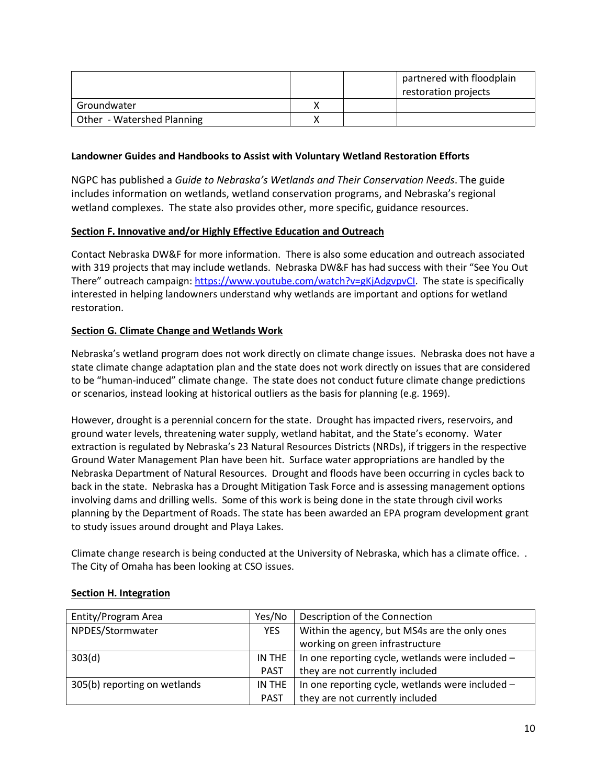|                            |  | partnered with floodplain<br>restoration projects |
|----------------------------|--|---------------------------------------------------|
| Groundwater                |  |                                                   |
| Other - Watershed Planning |  |                                                   |

## **Landowner Guides and Handbooks to Assist with Voluntary Wetland Restoration Efforts**

NGPC has published a *Guide to Nebraska's Wetlands and Their Conservation Needs*. The guide includes information on wetlands, wetland conservation programs, and Nebraska's regional wetland complexes. The state also provides other, more specific, guidance resources.

## <span id="page-9-0"></span>**Section F. Innovative and/or Highly Effective Education and Outreach**

Contact Nebraska DW&F for more information. There is also some education and outreach associated with 319 projects that may include wetlands. Nebraska DW&F has had success with their "See You Out There" outreach campaign: [https://www.youtube.com/watch?v=gKjAdgvpvCI.](https://www.youtube.com/watch?v=gKjAdgvpvCI) The state is specifically interested in helping landowners understand why wetlands are important and options for wetland restoration.

## **Section G. Climate Change and Wetlands Work**

Nebraska's wetland program does not work directly on climate change issues. Nebraska does not have a state climate change adaptation plan and the state does not work directly on issues that are considered to be "human-induced" climate change. The state does not conduct future climate change predictions or scenarios, instead looking at historical outliers as the basis for planning (e.g. 1969).

However, drought is a perennial concern for the state. Drought has impacted rivers, reservoirs, and ground water levels, threatening water supply, wetland habitat, and the State's economy. Water extraction is regulated by Nebraska's 23 Natural Resources Districts (NRDs), if triggers in the respective Ground Water Management Plan have been hit. Surface water appropriations are handled by the Nebraska Department of Natural Resources. Drought and floods have been occurring in cycles back to back in the state. Nebraska has a Drought Mitigation Task Force and is assessing management options involving dams and drilling wells. Some of this work is being done in the state through civil works planning by the Department of Roads. The state has been awarded an EPA program development grant to study issues around drought and Playa Lakes.

Climate change research is being conducted at the University of Nebraska, which has a climate office. . The City of Omaha has been looking at CSO issues.

| Entity/Program Area          | Yes/No      | Description of the Connection                    |
|------------------------------|-------------|--------------------------------------------------|
| NPDES/Stormwater             | <b>YES</b>  | Within the agency, but MS4s are the only ones    |
|                              |             | working on green infrastructure                  |
| 303(d)                       | IN THE      | In one reporting cycle, wetlands were included - |
|                              | <b>PAST</b> | they are not currently included                  |
| 305(b) reporting on wetlands | IN THE      | In one reporting cycle, wetlands were included - |
|                              | <b>PAST</b> | they are not currently included                  |

### <span id="page-9-1"></span>**Section H. Integration**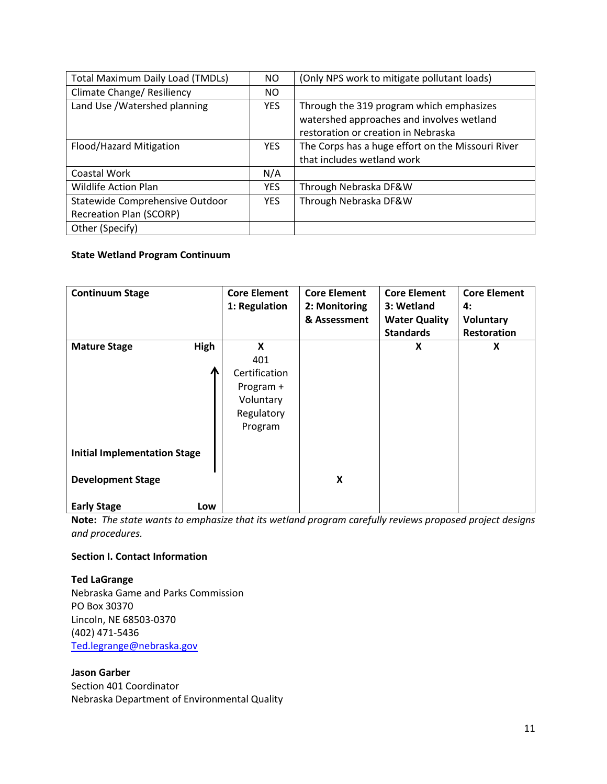| <b>Total Maximum Daily Load (TMDLs)</b> | NO.        | (Only NPS work to mitigate pollutant loads)       |
|-----------------------------------------|------------|---------------------------------------------------|
| Climate Change/ Resiliency              | NO.        |                                                   |
| Land Use / Watershed planning           | <b>YES</b> | Through the 319 program which emphasizes          |
|                                         |            | watershed approaches and involves wetland         |
|                                         |            | restoration or creation in Nebraska               |
| Flood/Hazard Mitigation                 | YES.       | The Corps has a huge effort on the Missouri River |
|                                         |            | that includes wetland work                        |
| Coastal Work                            | N/A        |                                                   |
| <b>Wildlife Action Plan</b>             | <b>YES</b> | Through Nebraska DF&W                             |
| Statewide Comprehensive Outdoor         | <b>YES</b> | Through Nebraska DF&W                             |
| <b>Recreation Plan (SCORP)</b>          |            |                                                   |
| Other (Specify)                         |            |                                                   |

## **State Wetland Program Continuum**

| <b>Continuum Stage</b>              | <b>Core Element</b><br>1: Regulation | <b>Core Element</b><br>2: Monitoring | <b>Core Element</b><br>3: Wetland | <b>Core Element</b><br>4: |
|-------------------------------------|--------------------------------------|--------------------------------------|-----------------------------------|---------------------------|
|                                     |                                      | & Assessment                         | <b>Water Quality</b>              | Voluntary                 |
|                                     |                                      |                                      | <b>Standards</b>                  | Restoration               |
| <b>High</b><br><b>Mature Stage</b>  | X                                    |                                      | X                                 | X                         |
|                                     | 401                                  |                                      |                                   |                           |
|                                     | Certification                        |                                      |                                   |                           |
|                                     | Program +                            |                                      |                                   |                           |
|                                     | Voluntary                            |                                      |                                   |                           |
|                                     | Regulatory                           |                                      |                                   |                           |
|                                     | Program                              |                                      |                                   |                           |
|                                     |                                      |                                      |                                   |                           |
| <b>Initial Implementation Stage</b> |                                      |                                      |                                   |                           |
|                                     |                                      |                                      |                                   |                           |
| <b>Development Stage</b>            |                                      | $\boldsymbol{\mathsf{X}}$            |                                   |                           |
|                                     |                                      |                                      |                                   |                           |
| <b>Early Stage</b><br>Low           |                                      |                                      |                                   |                           |

**Note:** *The state wants to emphasize that its wetland program carefully reviews proposed project designs and procedures.*

## **Section I. Contact Information**

### **Ted LaGrange**

Nebraska Game and Parks Commission PO Box 30370 Lincoln, NE 68503-0370 (402) 471-5436 [Ted.legrange@nebraska.gov](mailto:Ted.legrange@nebraska.gov)

#### **Jason Garber**

Section 401 Coordinator Nebraska Department of Environmental Quality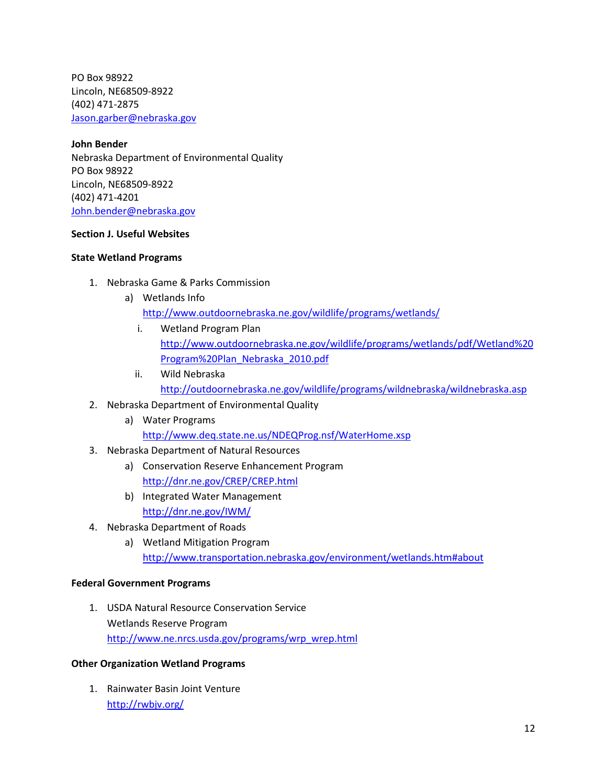PO Box 98922 Lincoln, NE68509-8922 (402) 471-2875 [Jason.garber@nebraska.gov](mailto:Jason.garber@nebraska.gov)

**John Bender** Nebraska Department of Environmental Quality PO Box 98922 Lincoln, NE68509-8922 (402) 471-4201 [John.bender@nebraska.gov](mailto:John.bender@nebraska.gov)

### **Section J. Useful Websites**

#### **State Wetland Programs**

- 1. Nebraska Game & Parks Commission
	- a) Wetlands Info

<http://www.outdoornebraska.ne.gov/wildlife/programs/wetlands/>

- i. Wetland Program Plan [http://www.outdoornebraska.ne.gov/wildlife/programs/wetlands/pdf/Wetland%20](http://www.outdoornebraska.ne.gov/wildlife/programs/wetlands/pdf/Wetland%20Program%20Plan_Nebraska_2010.pdf) [Program%20Plan\\_Nebraska\\_2010.pdf](http://www.outdoornebraska.ne.gov/wildlife/programs/wetlands/pdf/Wetland%20Program%20Plan_Nebraska_2010.pdf)
- ii. Wild Nebraska <http://outdoornebraska.ne.gov/wildlife/programs/wildnebraska/wildnebraska.asp>
- 2. Nebraska Department of Environmental Quality
	- a) Water Programs <http://www.deq.state.ne.us/NDEQProg.nsf/WaterHome.xsp>
- 3. Nebraska Department of Natural Resources
	- a) Conservation Reserve Enhancement Program <http://dnr.ne.gov/CREP/CREP.html>
	- b) Integrated Water Management <http://dnr.ne.gov/IWM/>
- 4. Nebraska Department of Roads
	- a) Wetland Mitigation Program <http://www.transportation.nebraska.gov/environment/wetlands.htm#about>

### **Federal Government Programs**

1. USDA Natural Resource Conservation Service Wetlands Reserve Program [http://www.ne.nrcs.usda.gov/programs/wrp\\_wrep.html](http://www.ne.nrcs.usda.gov/programs/wrp_wrep.html)

### **Other Organization Wetland Programs**

1. Rainwater Basin Joint Venture <http://rwbjv.org/>